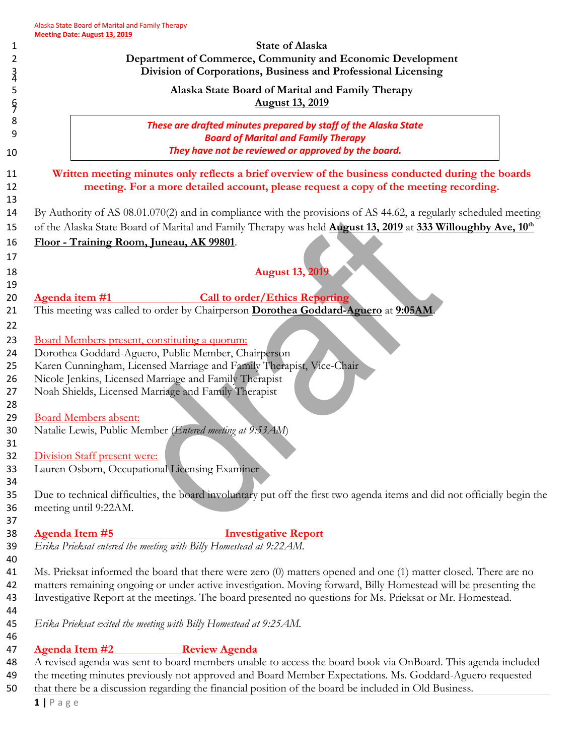|                                                                                                              | Department of Commerce, Community and Economic Development<br>Division of Corporations, Business and Professional Licensing                                                                                                                         |
|--------------------------------------------------------------------------------------------------------------|-----------------------------------------------------------------------------------------------------------------------------------------------------------------------------------------------------------------------------------------------------|
|                                                                                                              | Alaska State Board of Marital and Family Therapy<br><b>August 13, 2019</b>                                                                                                                                                                          |
|                                                                                                              | These are drafted minutes prepared by staff of the Alaska State<br><b>Board of Marital and Family Therapy</b><br>They have not be reviewed or approved by the board.                                                                                |
|                                                                                                              | Written meeting minutes only reflects a brief overview of the business conducted during the boards<br>meeting. For a more detailed account, please request a copy of the meeting recording.                                                         |
|                                                                                                              | By Authority of AS 08.01.070(2) and in compliance with the provisions of AS 44.62, a regularly scheduled meeting<br>of the Alaska State Board of Marital and Family Therapy was held <b>August 13, 2019</b> at 333 Willoughby Ave, 10 <sup>th</sup> |
|                                                                                                              | Floor - Training Room, Juneau, AK 99801.                                                                                                                                                                                                            |
|                                                                                                              | <b>August 13, 2019</b>                                                                                                                                                                                                                              |
|                                                                                                              | <b>Call to order/Ethics Reporting</b><br>Agenda item #1                                                                                                                                                                                             |
|                                                                                                              | This meeting was called to order by Chairperson Dorothea Goddard-Aguero at 9:05AM.                                                                                                                                                                  |
|                                                                                                              | Board Members present, constituting a quorum:                                                                                                                                                                                                       |
|                                                                                                              | Dorothea Goddard-Aguero, Public Member, Chairperson                                                                                                                                                                                                 |
|                                                                                                              | Karen Cunningham, Licensed Marriage and Family Therapist, Vice-Chair                                                                                                                                                                                |
|                                                                                                              | Nicole Jenkins, Licensed Marriage and Family Therapist<br>Noah Shields, Licensed Marriage and Family Therapist                                                                                                                                      |
|                                                                                                              | <b>Board Members absent:</b>                                                                                                                                                                                                                        |
|                                                                                                              | Natalie Lewis, Public Member (Entered meeting at 9:53 AM)                                                                                                                                                                                           |
|                                                                                                              | Division Staff present were:<br>Lauren Osborn, Occupational Licensing Examiner                                                                                                                                                                      |
|                                                                                                              |                                                                                                                                                                                                                                                     |
|                                                                                                              | Due to technical difficulties, the board involuntary put off the first two agenda items and did not officially begin the<br>meeting until 9:22AM.                                                                                                   |
|                                                                                                              | <b>Agenda Item #5</b><br><b>Investigative Report</b>                                                                                                                                                                                                |
|                                                                                                              | Erika Prieksat entered the meeting with Billy Homestead at 9:22AM.                                                                                                                                                                                  |
|                                                                                                              | Ms. Prieksat informed the board that there were zero (0) matters opened and one (1) matter closed. There are no                                                                                                                                     |
|                                                                                                              | matters remaining ongoing or under active investigation. Moving forward, Billy Homestead will be presenting the                                                                                                                                     |
|                                                                                                              | Investigative Report at the meetings. The board presented no questions for Ms. Prieksat or Mr. Homestead.                                                                                                                                           |
|                                                                                                              | Erika Prieksat exited the meeting with Billy Homestead at 9:25 AM.                                                                                                                                                                                  |
|                                                                                                              | <b>Review Agenda</b><br><b>Agenda Item #2</b>                                                                                                                                                                                                       |
| A revised agenda was sent to board members unable to access the board book via OnBoard. This agenda included |                                                                                                                                                                                                                                                     |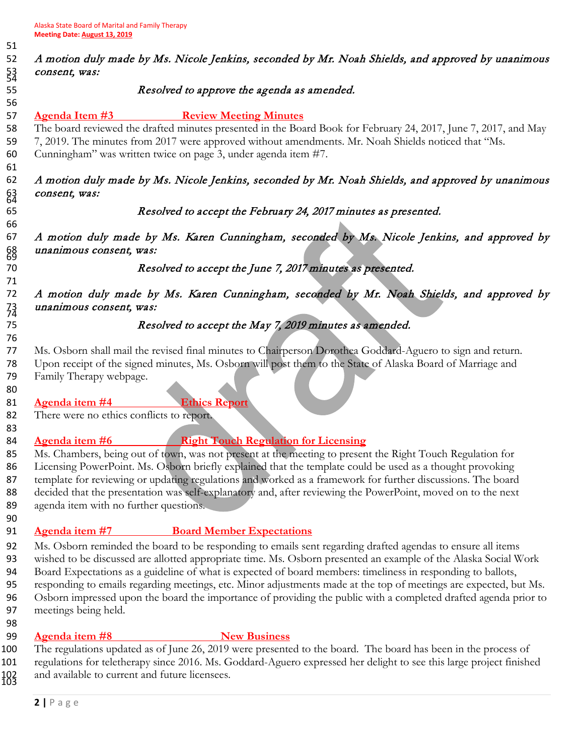# A motion duly made by Ms. Nicole Jenkins, seconded by Mr. Noah Shields, and approved by unanimous 53 consent, was:

### Resolved to approve the agenda as amended.

**Agenda Item #3 Review Meeting Minutes**

 The board reviewed the drafted minutes presented in the Board Book for February 24, 2017, June 7, 2017, and May 7, 2019. The minutes from 2017 were approved without amendments. Mr. Noah Shields noticed that "Ms. Cunningham" was written twice on page 3, under agenda item #7.

# A motion duly made by Ms. Nicole Jenkins, seconded by Mr. Noah Shields, and approved by unanimous 63 *consent*, was:<br>64<br>65

### Resolved to accept the February 24, 2017 minutes as presented.

 A motion duly made by Ms. Karen Cunningham, seconded by Ms. Nicole Jenkins, and approved by unanimous consent, was: <sup>69</sup>

## Resolved to accept the June 7, 2017 minutes as presented.

 A motion duly made by Ms. Karen Cunningham, seconded by Mr. Noah Shields, and approved by 73 unanimous consent, was:

## Resolved to accept the May 7, 2019 minutes as amended.

 Ms. Osborn shall mail the revised final minutes to Chairperson Dorothea Goddard-Aguero to sign and return. Upon receipt of the signed minutes, Ms. Osborn will post them to the State of Alaska Board of Marriage and Family Therapy webpage.

### **Agenda item #4 Ethics Report**

There were no ethics conflicts to report.

# 

## **Agenda item #6 Right Touch Regulation for Licensing**

 Ms. Chambers, being out of town, was not present at the meeting to present the Right Touch Regulation for 86 Licensing PowerPoint. Ms. Osborn briefly explained that the template could be used as a thought provoking 87 template for reviewing or updating regulations and worked as a framework for further discussions. The board 88 decided that the presentation was self-explanatory and, after reviewing the PowerPoint, moved on to the next agenda item with no further questions.

### **Agenda item #7 Board Member Expectations**

 Ms. Osborn reminded the board to be responding to emails sent regarding drafted agendas to ensure all items wished to be discussed are allotted appropriate time. Ms. Osborn presented an example of the Alaska Social Work Board Expectations as a guideline of what is expected of board members: timeliness in responding to ballots, responding to emails regarding meetings, etc. Minor adjustments made at the top of meetings are expected, but Ms. Osborn impressed upon the board the importance of providing the public with a completed drafted agenda prior to meetings being held.

### **Agenda item #8 New Business**

 The regulations updated as of June 26, 2019 were presented to the board. The board has been in the process of regulations for teletherapy since 2016. Ms. Goddard-Aguero expressed her delight to see this large project finished and available to current and future licensees.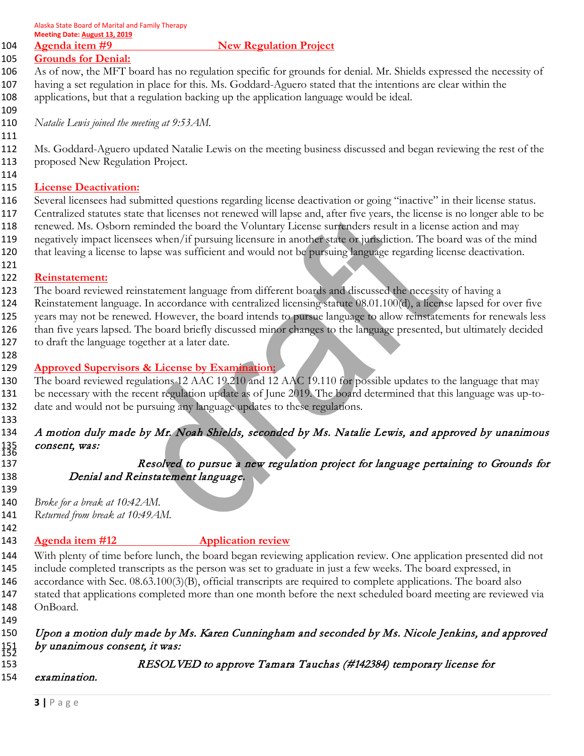#### **Agenda item #9** New Regulation Project

# **Grounds for Denial:**

 As of now, the MFT board has no regulation specific for grounds for denial. Mr. Shields expressed the necessity of having a set regulation in place for this. Ms. Goddard-Aguero stated that the intentions are clear within the applications, but that a regulation backing up the application language would be ideal.

*Natalie Lewis joined the meeting at 9:53AM.* 

 Ms. Goddard-Aguero updated Natalie Lewis on the meeting business discussed and began reviewing the rest of the proposed New Regulation Project.

#### **License Deactivation:**

 Several licensees had submitted questions regarding license deactivation or going "inactive" in their license status. Centralized statutes state that licenses not renewed will lapse and, after five years, the license is no longer able to be renewed. Ms. Osborn reminded the board the Voluntary License surrenders result in a license action and may negatively impact licensees when/if pursuing licensure in another state or jurisdiction. The board was of the mind that leaving a license to lapse was sufficient and would not be pursuing language regarding license deactivation.

#### **Reinstatement:**

 The board reviewed reinstatement language from different boards and discussed the necessity of having a Reinstatement language. In accordance with centralized licensing statute 08.01.100(d), a license lapsed for over five years may not be renewed. However, the board intends to pursue language to allow reinstatements for renewals less than five years lapsed. The board briefly discussed minor changes to the language presented, but ultimately decided to draft the language together at a later date.

#### **Approved Supervisors & License by Examination:**

130 The board reviewed regulations 12 AAC 19.210 and 12 AAC 19.110 for possible updates to the language that may be necessary with the recent regulation update as of June 2019. The board determined that this language was up-to-date and would not be pursuing any language updates to these regulations.

# 134 A motion duly made by Mr. Noah Shields, seconded by Ms. Natalie Lewis, and approved by unanimous *consent, was:* 136

## Resolved to pursue a new regulation project for language pertaining to Grounds for Denial and Reinstatement language.

*Broke for a break at 10:42AM.*

*Returned from break at 10:49AM.*

#### 

# **Agenda item #12 Application review**

 With plenty of time before lunch, the board began reviewing application review. One application presented did not include completed transcripts as the person was set to graduate in just a few weeks. The board expressed, in accordance with Sec. 08.63.100(3)(B), official transcripts are required to complete applications. The board also stated that applications completed more than one month before the next scheduled board meeting are reviewed via OnBoard. 

# Upon a motion duly made by Ms. Karen Cunningham and seconded by Ms. Nicole Jenkins, and approved by unanimous consent, it was:<br>153 RESOLV

RESOLVED to approve Tamara Tauchas (#142384) temporary license for

### examination.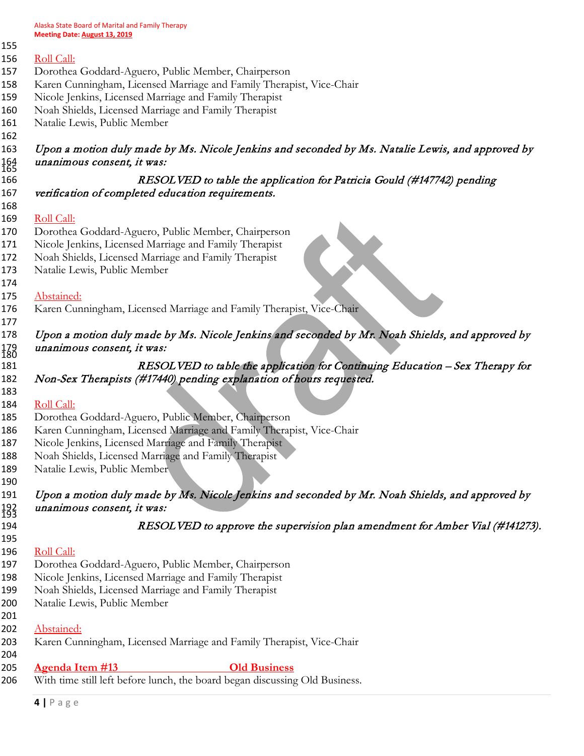Alaska State Board of Marital and Family Therapy **Meeting Date: August 13, 2019**

| 155 | Meeting Date: August 13, 2019                                                                    |
|-----|--------------------------------------------------------------------------------------------------|
|     |                                                                                                  |
|     | Roll Call:                                                                                       |
|     | Dorothea Goddard-Aguero, Public Member, Chairperson                                              |
|     | Karen Cunningham, Licensed Marriage and Family Therapist, Vice-Chair                             |
|     | Nicole Jenkins, Licensed Marriage and Family Therapist                                           |
|     | Noah Shields, Licensed Marriage and Family Therapist                                             |
|     | Natalie Lewis, Public Member                                                                     |
|     | Upon a motion duly made by Ms. Nicole Jenkins and seconded by Ms. Natalie Lewis, and approved by |
|     | unanimous consent, it was:                                                                       |
|     | RESOLVED to table the application for Patricia Gould (#147742) pending                           |
|     | verification of completed education requirements.                                                |
|     |                                                                                                  |
|     | Roll Call:                                                                                       |
|     | Dorothea Goddard-Aguero, Public Member, Chairperson                                              |
|     | Nicole Jenkins, Licensed Marriage and Family Therapist                                           |
|     | Noah Shields, Licensed Marriage and Family Therapist                                             |
|     | Natalie Lewis, Public Member                                                                     |
|     | Abstained:                                                                                       |
|     | Karen Cunningham, Licensed Marriage and Family Therapist, Vice-Chair                             |
|     |                                                                                                  |
|     | Upon a motion duly made by Ms. Nicole Jenkins and seconded by Mr. Noah Shields, and approved by  |
|     | unanimous consent, it was:                                                                       |
|     | RESOLVED to table the application for Continuing Education - Sex Therapy for                     |
|     | Non-Sex Therapists (#17440) pending explanation of hours requested.                              |
|     |                                                                                                  |
|     | Roll Call:                                                                                       |
|     | Dorothea Goddard-Aguero, Public Member, Chairperson                                              |
|     | Karen Cunningham, Licensed Marriage and Family Therapist, Vice-Chair                             |
|     | Nicole Jenkins, Licensed Marriage and Family Therapist                                           |
|     | Noah Shields, Licensed Marriage and Family Therapist                                             |
|     | Natalie Lewis, Public Member                                                                     |
|     |                                                                                                  |
|     | Upon a motion duly made by Ms. Nicole Jenkins and seconded by Mr. Noah Shields, and approved by  |
|     | unanimous consent, it was:                                                                       |
|     | RESOLVED to approve the supervision plan amendment for Amber Vial (#141273).                     |
|     |                                                                                                  |
|     | Roll Call:                                                                                       |
|     | Dorothea Goddard-Aguero, Public Member, Chairperson                                              |
|     | Nicole Jenkins, Licensed Marriage and Family Therapist                                           |
|     | Noah Shields, Licensed Marriage and Family Therapist                                             |
|     | Natalie Lewis, Public Member                                                                     |
|     | Abstained:                                                                                       |
|     | Karen Cunningham, Licensed Marriage and Family Therapist, Vice-Chair                             |
|     |                                                                                                  |

- **Agenda Item #13 Old Business**
	- 206 With time still left before lunch, the board began discussing Old Business.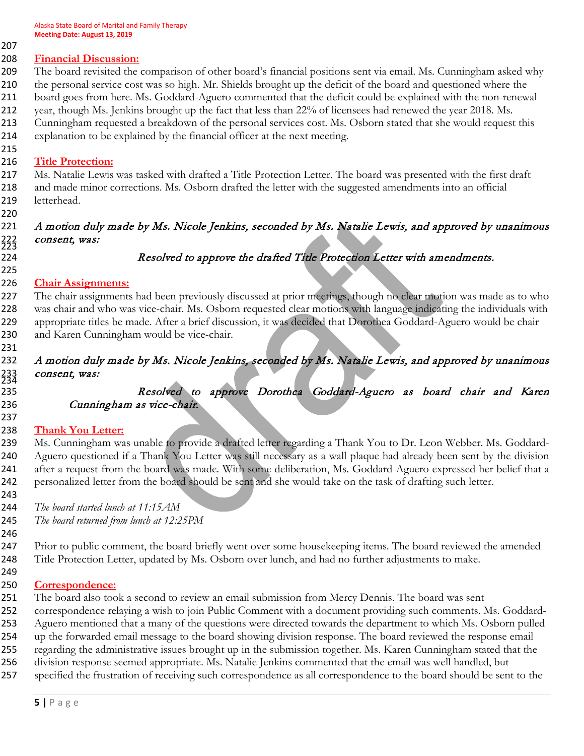**Financial Discussion:** The board revisited the comparison of other board's financial positions sent via email. Ms. Cunningham asked why the personal service cost was so high. Mr. Shields brought up the deficit of the board and questioned where the board goes from here. Ms. Goddard-Aguero commented that the deficit could be explained with the non-renewal

- 212 year, though Ms. Jenkins brought up the fact that less than 22% of licensees had renewed the year 2018. Ms.
- Cunningham requested a breakdown of the personal services cost. Ms. Osborn stated that she would request this explanation to be explained by the financial officer at the next meeting.
- 

**Title Protection:**

 Ms. Natalie Lewis was tasked with drafted a Title Protection Letter. The board was presented with the first draft and made minor corrections. Ms. Osborn drafted the letter with the suggested amendments into an official letterhead.

# A motion duly made by Ms. Nicole Jenkins, seconded by Ms. Natalie Lewis, and approved by unanimous 222 consent, was:<br>223<br>224

# 

## Resolved to approve the drafted Title Protection Letter with amendments.

### **Chair Assignments:**

227 The chair assignments had been previously discussed at prior meetings, though no clear motion was made as to who was chair and who was vice-chair. Ms. Osborn requested clear motions with language indicating the individuals with appropriate titles be made. After a brief discussion, it was decided that Dorothea Goddard-Aguero would be chair and Karen Cunningham would be vice-chair.

# A motion duly made by Ms. Nicole Jenkins, seconded by Ms. Natalie Lewis, and approved by unanimous 233 consent, was:<br>234

# Resolved to approve Dorothea Goddard-Aguero as board chair and Karen Cunningham as vice-chair.

### **Thank You Letter:**

 Ms. Cunningham was unable to provide a drafted letter regarding a Thank You to Dr. Leon Webber. Ms. Goddard- Aguero questioned if a Thank You Letter was still necessary as a wall plaque had already been sent by the division 241 after a request from the board was made. With some deliberation, Ms. Goddard-Aguero expressed her belief that a personalized letter from the board should be sent and she would take on the task of drafting such letter.

*The board started lunch at 11:15AM*

*The board returned from lunch at 12:25PM*

 Prior to public comment, the board briefly went over some housekeeping items. The board reviewed the amended 248 Title Protection Letter, updated by Ms. Osborn over lunch, and had no further adjustments to make.

#### **Correspondence:**

The board also took a second to review an email submission from Mercy Dennis. The board was sent

correspondence relaying a wish to join Public Comment with a document providing such comments. Ms. Goddard-

Aguero mentioned that a many of the questions were directed towards the department to which Ms. Osborn pulled

up the forwarded email message to the board showing division response. The board reviewed the response email

 regarding the administrative issues brought up in the submission together. Ms. Karen Cunningham stated that the division response seemed appropriate. Ms. Natalie Jenkins commented that the email was well handled, but